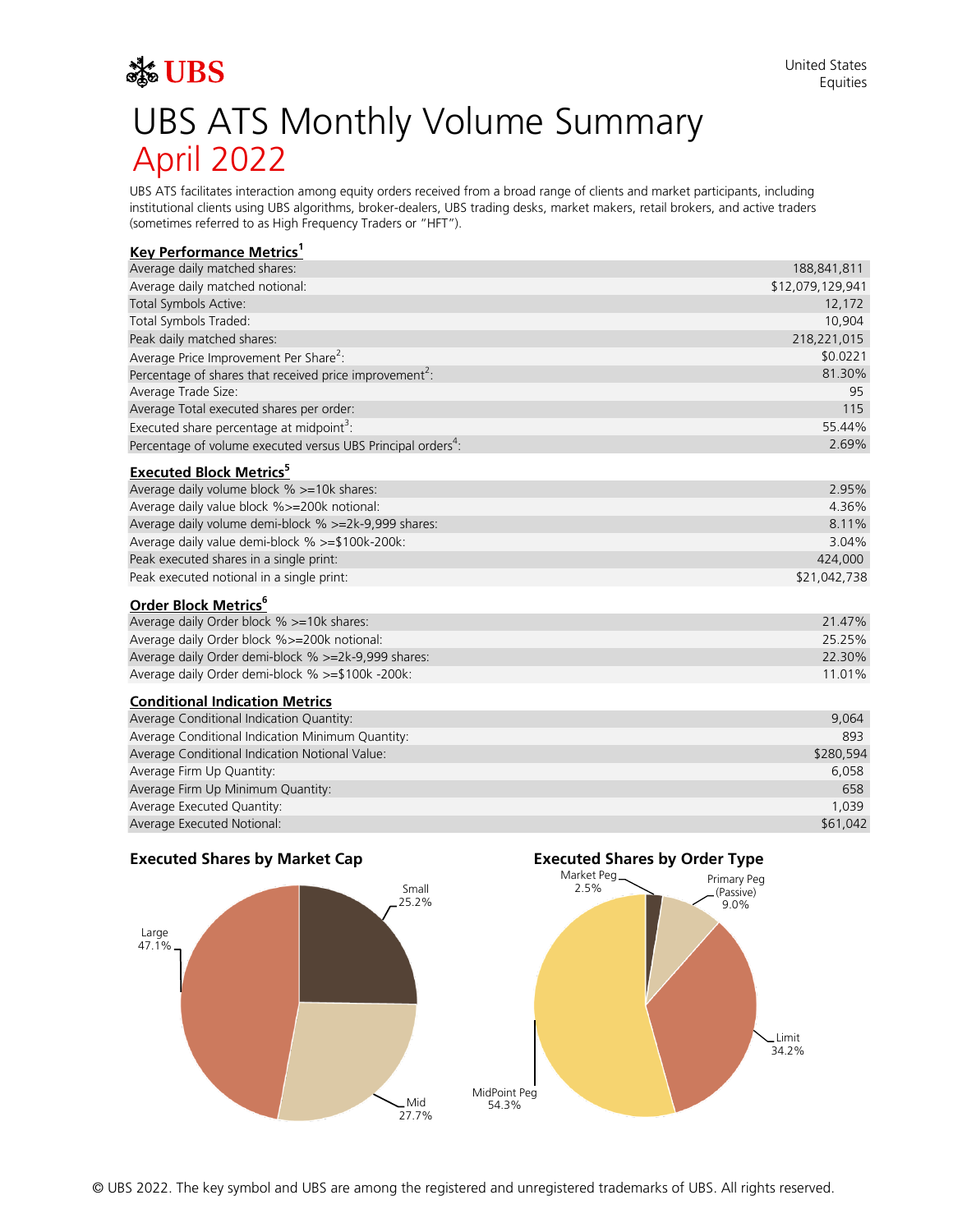# Ste UBS UBS ATS Monthly Volume Summary April 2022

UBS ATS facilitates interaction among equity orders received from a broad range of clients and market participants, including institutional clients using UBS algorithms, broker-dealers, UBS trading desks, market makers, retail brokers, and active traders (sometimes referred to as High Frequency Traders or "HFT").

# **Key Performance Metrics<sup>1</sup>**

| Average daily matched shares:                                            | 188,841,811      |
|--------------------------------------------------------------------------|------------------|
| Average daily matched notional:                                          | \$12,079,129,941 |
| Total Symbols Active:                                                    | 12,172           |
| Total Symbols Traded:                                                    | 10,904           |
| Peak daily matched shares:                                               | 218,221,015      |
| Average Price Improvement Per Share <sup>2</sup> :                       | \$0.0221         |
| Percentage of shares that received price improvement <sup>2</sup> :      | 81.30%           |
| Average Trade Size:                                                      | 95               |
| Average Total executed shares per order:                                 | 115              |
| Executed share percentage at midpoint <sup>3</sup> :                     | 55.44%           |
| Percentage of volume executed versus UBS Principal orders <sup>4</sup> : | 2.69%            |
|                                                                          |                  |

#### **Executed Block Metrics<sup>5</sup>**

| Average daily volume block % >=10k shares:           | $2.95\%$     |
|------------------------------------------------------|--------------|
| Average daily value block %>=200k notional:          | 4.36%        |
| Average daily volume demi-block % >=2k-9,999 shares: | 8.11%        |
| Average daily value demi-block % >=\$100k-200k:      | $3.04\%$     |
| Peak executed shares in a single print:              | 424,000      |
| Peak executed notional in a single print:            | \$21,042,738 |
|                                                      |              |

# **Order Block Metrics<sup>6</sup>**

| Average daily Order block % >=10k shares:           | 21.47% |
|-----------------------------------------------------|--------|
| Average daily Order block %>=200k notional:         | 25.25% |
| Average daily Order demi-block % >=2k-9,999 shares: | 22.30% |
| Average daily Order demi-block % >=\$100k -200k:    | 11 01% |

## **Conditional Indication Metrics**

| Average Conditional Indication Quantity:         | 9,064     |
|--------------------------------------------------|-----------|
| Average Conditional Indication Minimum Quantity: | 893       |
| Average Conditional Indication Notional Value:   | \$280,594 |
| Average Firm Up Quantity:                        | 6,058     |
| Average Firm Up Minimum Quantity:                | 658       |
| Average Executed Quantity:                       | 1.039     |
| Average Executed Notional:                       | \$61,042  |



#### © UBS 2022. The key symbol and UBS are among the registered and unregistered trademarks of UBS. All rights reserved.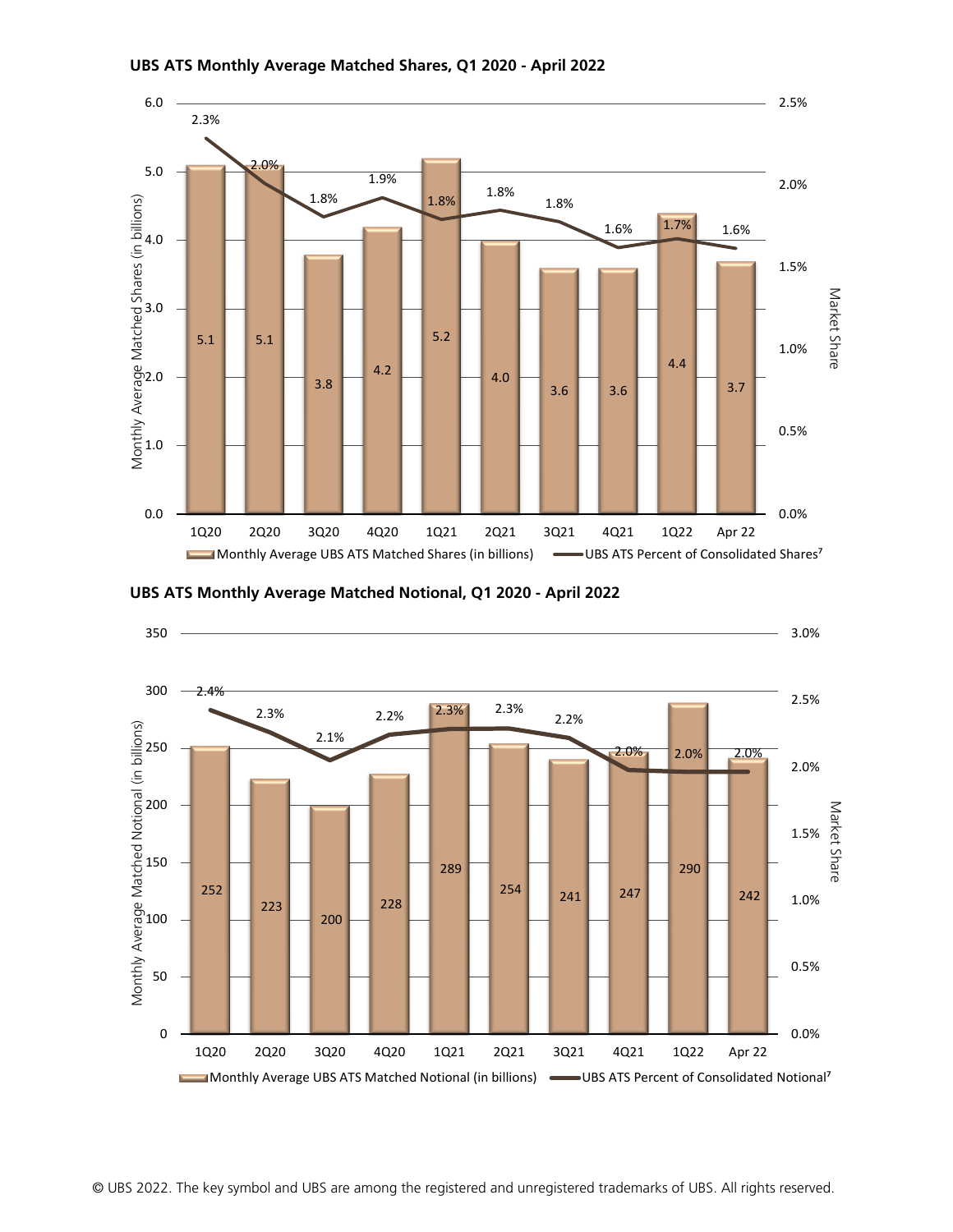

#### **UBS ATS Monthly Average Matched Shares, Q1 2020 - April 2022**



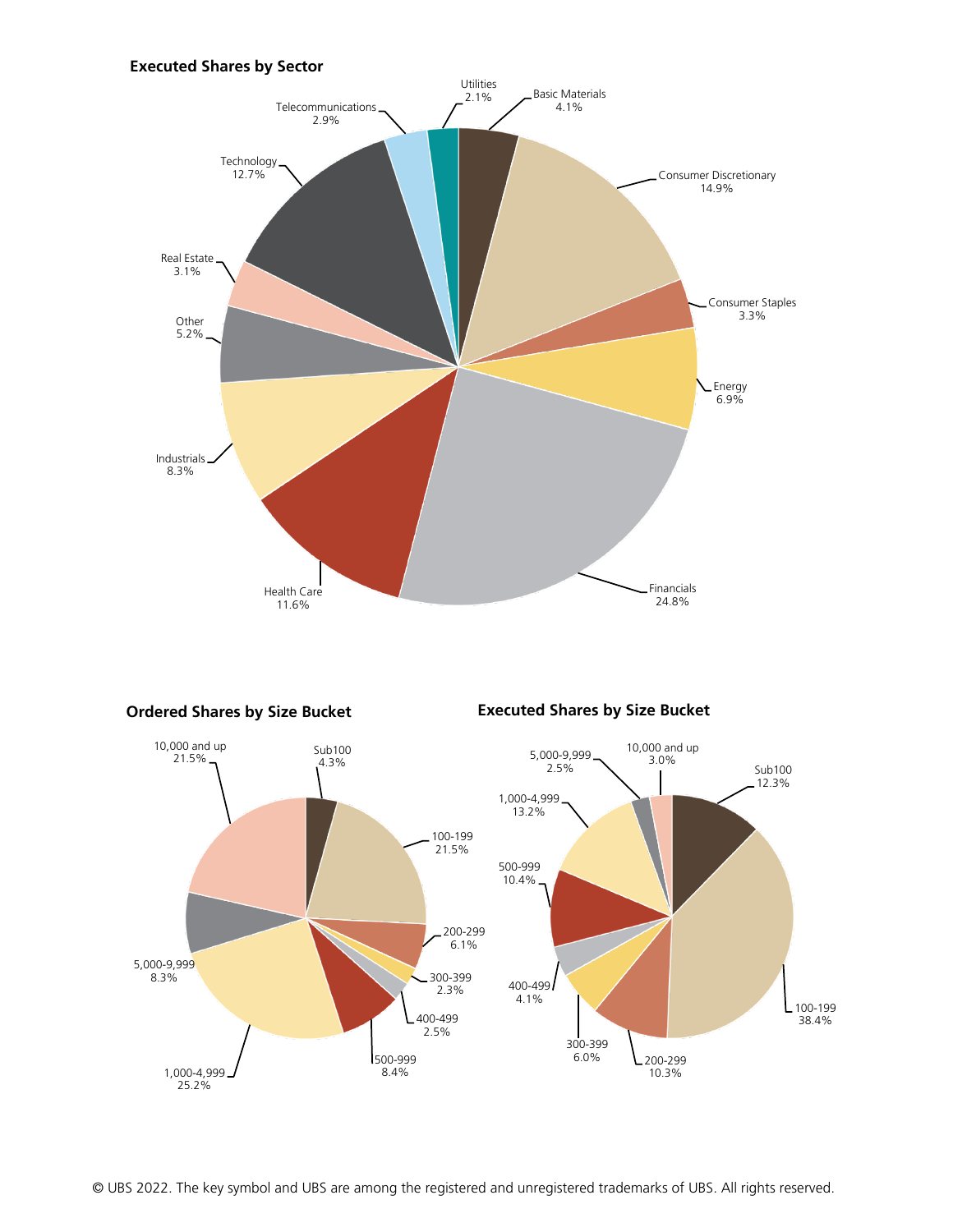# **Executed Shares by Sector**





© UBS 2022. The key symbol and UBS are among the registered and unregistered trademarks of UBS. All rights reserved.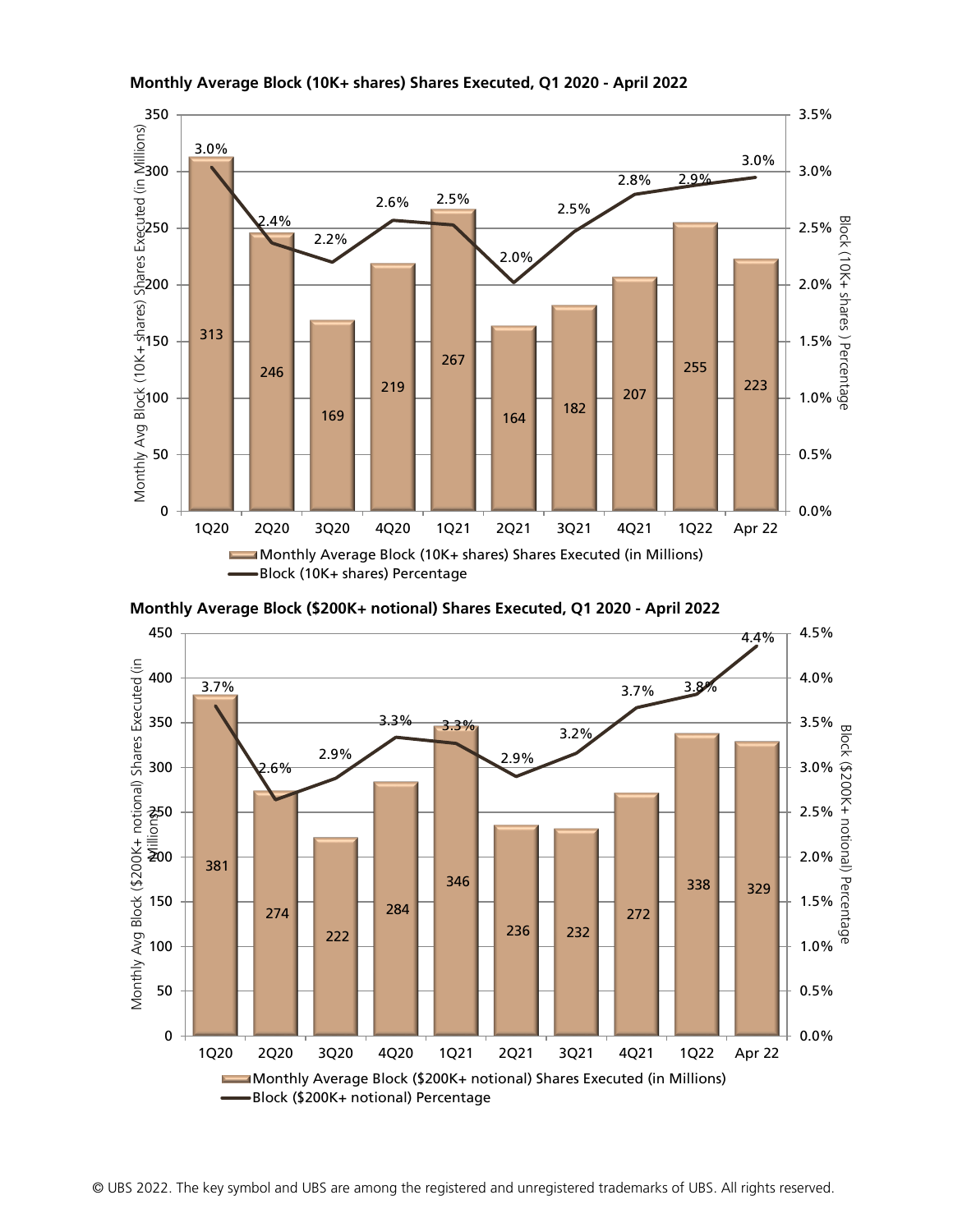